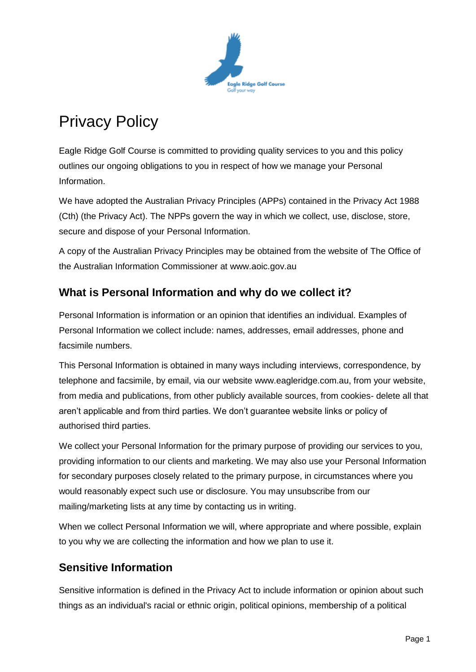

# Privacy Policy

Eagle Ridge Golf Course is committed to providing quality services to you and this policy outlines our ongoing obligations to you in respect of how we manage your Personal Information.

We have adopted the Australian Privacy Principles (APPs) contained in the Privacy Act 1988 (Cth) (the Privacy Act). The NPPs govern the way in which we collect, use, disclose, store, secure and dispose of your Personal Information.

A copy of the Australian Privacy Principles may be obtained from the website of The Office of the Australian Information Commissioner at www.aoic.gov.au

## **What is Personal Information and why do we collect it?**

Personal Information is information or an opinion that identifies an individual. Examples of Personal Information we collect include: names, addresses, email addresses, phone and facsimile numbers.

This Personal Information is obtained in many ways including interviews, correspondence, by telephone and facsimile, by email, via our website www.eagleridge.com.au, from your website, from media and publications, from other publicly available sources, from cookies- delete all that aren't applicable and from third parties. We don't guarantee website links or policy of authorised third parties.

We collect your Personal Information for the primary purpose of providing our services to you, providing information to our clients and marketing. We may also use your Personal Information for secondary purposes closely related to the primary purpose, in circumstances where you would reasonably expect such use or disclosure. You may unsubscribe from our mailing/marketing lists at any time by contacting us in writing.

When we collect Personal Information we will, where appropriate and where possible, explain to you why we are collecting the information and how we plan to use it.

#### **Sensitive Information**

Sensitive information is defined in the Privacy Act to include information or opinion about such things as an individual's racial or ethnic origin, political opinions, membership of a political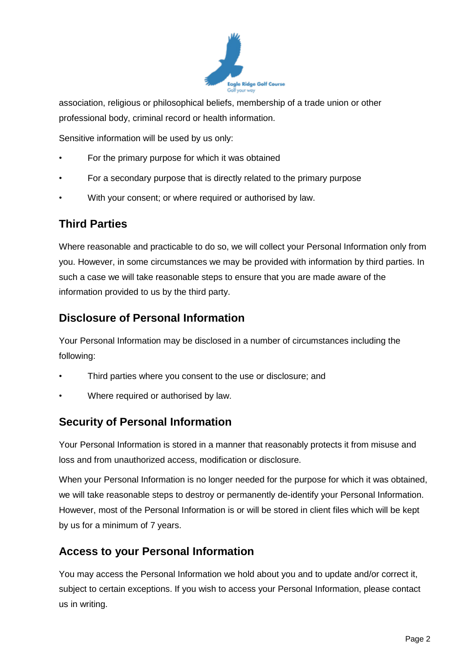

association, religious or philosophical beliefs, membership of a trade union or other professional body, criminal record or health information.

Sensitive information will be used by us only:

- For the primary purpose for which it was obtained
- For a secondary purpose that is directly related to the primary purpose
- With your consent; or where required or authorised by law.

#### **Third Parties**

Where reasonable and practicable to do so, we will collect your Personal Information only from you. However, in some circumstances we may be provided with information by third parties. In such a case we will take reasonable steps to ensure that you are made aware of the information provided to us by the third party.

#### **Disclosure of Personal Information**

Your Personal Information may be disclosed in a number of circumstances including the following:

- Third parties where you consent to the use or disclosure; and
- Where required or authorised by law.

#### **Security of Personal Information**

Your Personal Information is stored in a manner that reasonably protects it from misuse and loss and from unauthorized access, modification or disclosure.

When your Personal Information is no longer needed for the purpose for which it was obtained, we will take reasonable steps to destroy or permanently de-identify your Personal Information. However, most of the Personal Information is or will be stored in client files which will be kept by us for a minimum of 7 years.

#### **Access to your Personal Information**

You may access the Personal Information we hold about you and to update and/or correct it, subject to certain exceptions. If you wish to access your Personal Information, please contact us in writing.